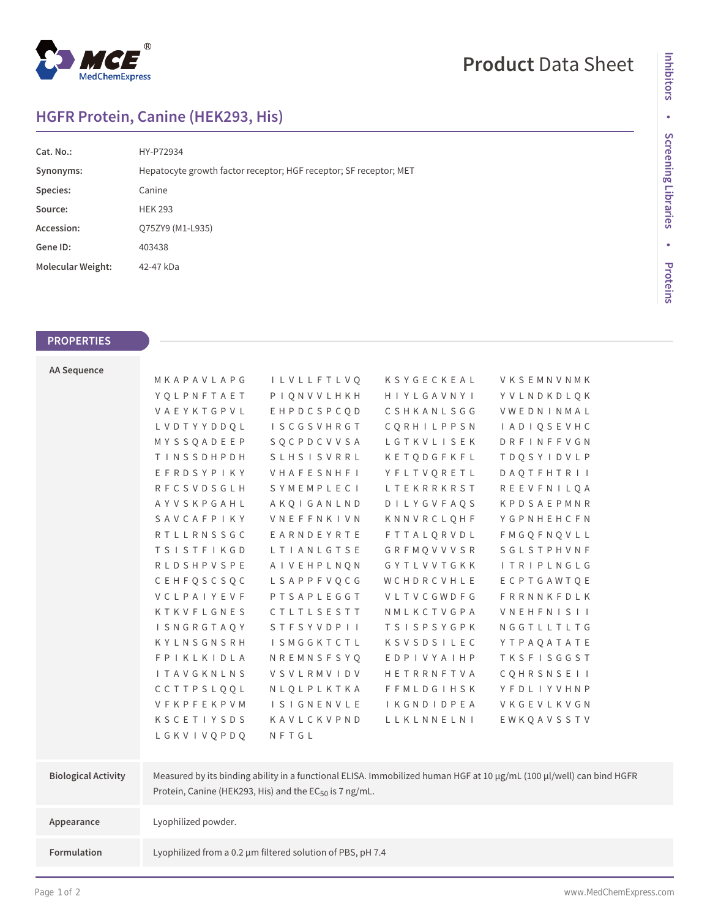

## **HGFR Protein, Canine (HEK293, His)**

| Cat. No.:                | HY-P72934                                                         |
|--------------------------|-------------------------------------------------------------------|
| Synonyms:                | Hepatocyte growth factor receptor; HGF receptor; SF receptor; MET |
| Species:                 | Canine                                                            |
| Source:                  | <b>HEK 293</b>                                                    |
| Accession:               | Q75ZY9 (M1-L935)                                                  |
| Gene ID:                 | 403438                                                            |
| <b>Molecular Weight:</b> | 42-47 kDa                                                         |
|                          |                                                                   |

## **PROPERTIES**

| <b>AA Sequence</b>         |                     |                                                             |                   |                                                                                                                      |  |
|----------------------------|---------------------|-------------------------------------------------------------|-------------------|----------------------------------------------------------------------------------------------------------------------|--|
|                            | MKAPAVLAPG          | I L V L L F T L V O                                         | KSYGECKEAL        | VKSEMNVNMK                                                                                                           |  |
|                            | YQLPNFTAET          | PIQNVVLHKH                                                  | HIYLGAVNYI        | YVLNDKDLQK                                                                                                           |  |
|                            | VAEYKTGPVL          | EHPDCSPCQD                                                  | CSHKANLSGG        | VWEDNINMAL                                                                                                           |  |
|                            | LVDTYYDDQL          | <b>ISCGSVHRGT</b>                                           | CORHILPPSN        | <b>IADIQSEVHC</b>                                                                                                    |  |
|                            | MYSSQADEEP          | SQCPDCVVSA                                                  | LGTKVLISEK        | DRFINFFVGN                                                                                                           |  |
|                            | TINSSDHPDH          | <b>SLHSISVRRL</b>                                           | KETQDGFKFL        | <b>TDQSYIDVLP</b>                                                                                                    |  |
|                            | EFRDSYPIKY          | VHAFESNHFI                                                  | YFLTVQRETL        | <b>DAQTFHTRII</b>                                                                                                    |  |
|                            | RFCSVDSGLH          | SYMEMPLECI                                                  | LTEKRRKRST        | <b>REEVFNILQA</b>                                                                                                    |  |
|                            | AYVSKPGAHL          | AKQIGANLND                                                  | <b>DILYGVFAQS</b> | KPDSAEPMNR                                                                                                           |  |
|                            | SAVCAFPIKY          | <b>VNEFFNKIVN</b>                                           | KNNVRCLQHF        | YGPNHEHCFN                                                                                                           |  |
|                            | <b>RTLLRNSSGC</b>   | EARNDEYRTE                                                  | <b>FTTALQRVDL</b> | <b>FMGQFNQVLL</b>                                                                                                    |  |
|                            | <b>TSISTFIKGD</b>   | LTIANLGTSE                                                  | GRFMQVVVSR        | SGLSTPHVNF                                                                                                           |  |
|                            | <b>RLDSHPVSPE</b>   | AIVEHPLNQN                                                  | GYTLVVTGKK        | <b>ITRIPLNGLG</b>                                                                                                    |  |
|                            | CEHFQSCSQC          | LSAPPFVQCG                                                  | WCHDRCVHLE        | ECPTGAWTQE                                                                                                           |  |
|                            | VCLPAIYEVF          | PTSAPLEGGT                                                  | VLTVCGWDFG        | FRRNNKFDLK                                                                                                           |  |
|                            | KTKVFLGNES          | CTLTLSESTT                                                  | NMLKCTVGPA        | <b>VNEHFNISII</b>                                                                                                    |  |
|                            | I SNGRGTAQY         | STFSYVDPII                                                  | <b>TSISPSYGPK</b> | NGGTLLTLTG                                                                                                           |  |
|                            | KYLNSGNSRH          | <b>ISMGGKTCTL</b>                                           | KSVSDSILEC        | YTPAQATATE                                                                                                           |  |
|                            | <b>FPIKLKIDLA</b>   | NREMNSFSYQ                                                  | EDPIVYAIHP        | <b>TKSFISGGST</b>                                                                                                    |  |
|                            | <b>I TAVGKNLNS</b>  | VSVLRMVIDV                                                  | HETRRNFTVA        | <b>COHRSNSEII</b>                                                                                                    |  |
|                            | CCTTPSLQQL          | NLQLPLKTKA                                                  | <b>FFMLDGIHSK</b> | YFDLIYVHNP                                                                                                           |  |
|                            | VFKPFEKPVM          | <b>ISIGNENVLE</b>                                           | <b>IKGNDIDPEA</b> | VKGEVLKVGN                                                                                                           |  |
|                            | KSCETIYSDS          | KAVLCKVPND                                                  | LLKLNNELNI        | EWKQAVSSTV                                                                                                           |  |
|                            | LGKVIVQPDQ          | NFTGL                                                       |                   |                                                                                                                      |  |
|                            |                     |                                                             |                   |                                                                                                                      |  |
| <b>Biological Activity</b> |                     |                                                             |                   | Measured by its binding ability in a functional ELISA. Immobilized human HGF at 10 µg/mL (100 µl/well) can bind HGFR |  |
|                            |                     | Protein, Canine (HEK293, His) and the $EC_{50}$ is 7 ng/mL. |                   |                                                                                                                      |  |
|                            |                     |                                                             |                   |                                                                                                                      |  |
| Appearance                 | Lyophilized powder. |                                                             |                   |                                                                                                                      |  |
|                            |                     |                                                             |                   |                                                                                                                      |  |
| <b>Formulation</b>         |                     | Lyophilized from a 0.2 µm filtered solution of PBS, pH 7.4  |                   |                                                                                                                      |  |

**Inhibitors**

Inhibitors

• Screening Libraries **Screening Libraries**

**•**

**Proteins**